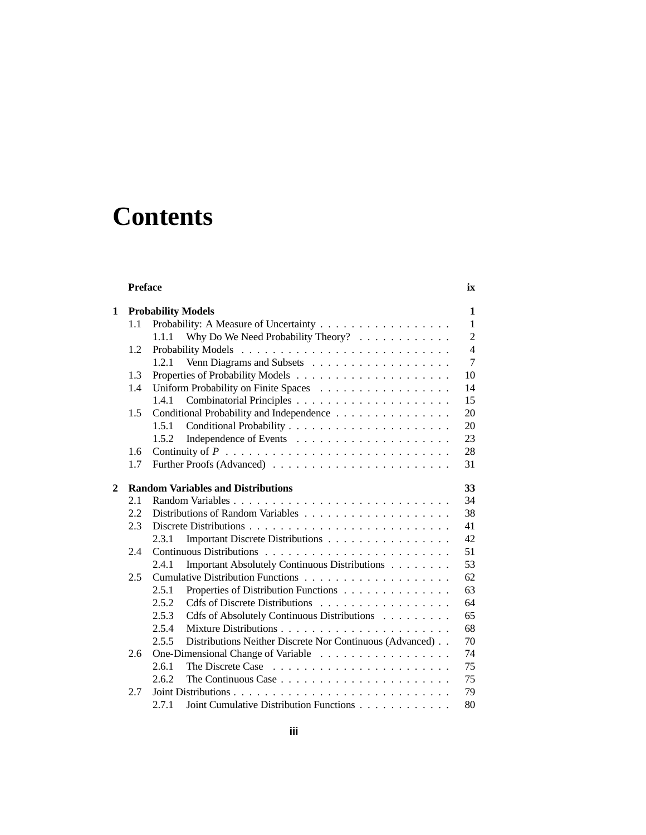# **Contents**

|                | <b>Preface</b> |                                                                                              | ix             |
|----------------|----------------|----------------------------------------------------------------------------------------------|----------------|
| 1              |                | <b>Probability Models</b>                                                                    | 1              |
|                | 1.1            | Probability: A Measure of Uncertainty                                                        | $\mathbf{1}$   |
|                |                | Why Do We Need Probability Theory?<br>1.1.1                                                  | $\overline{2}$ |
|                | 1.2            |                                                                                              | $\overline{4}$ |
|                |                | 1.2.1                                                                                        | 7              |
|                | 1.3            |                                                                                              | 10             |
|                | 1.4            |                                                                                              | 14             |
|                |                | 1.4.1                                                                                        | 15             |
|                | 1.5            | Conditional Probability and Independence                                                     | 20             |
|                |                | 1.5.1                                                                                        | 20             |
|                |                | 1.5.2                                                                                        | 23             |
|                | 1.6            |                                                                                              | 28             |
|                | 1.7            |                                                                                              | 31             |
| $\overline{2}$ |                | <b>Random Variables and Distributions</b>                                                    | 33             |
|                | 2.1            |                                                                                              | 34             |
|                | 2.2            |                                                                                              | 38             |
|                | 2.3            |                                                                                              | 41             |
|                |                | 2.3.1<br>Important Discrete Distributions                                                    | 42             |
|                | 2.4            |                                                                                              | 51             |
|                |                | Important Absolutely Continuous Distributions<br>2.4.1                                       | 53             |
|                | 2.5            |                                                                                              | 62             |
|                |                | Properties of Distribution Functions<br>2.5.1                                                | 63             |
|                |                | 2.5.2<br>Cdfs of Discrete Distributions                                                      | 64             |
|                |                | 2.5.3<br>Cdfs of Absolutely Continuous Distributions                                         | 65             |
|                |                | 2.5.4                                                                                        | 68             |
|                |                | Distributions Neither Discrete Nor Continuous (Advanced)<br>2.5.5                            | 70             |
|                | 2.6            | One-Dimensional Change of Variable                                                           | 74             |
|                |                | 2.6.1                                                                                        | 75             |
|                |                | 2.6.2<br>The Continuous Case $\ldots$ , $\ldots$ , $\ldots$ , $\ldots$ , $\ldots$ , $\ldots$ | 75             |
|                | 2.7            |                                                                                              | 79             |
|                |                | 2.7.1<br>Joint Cumulative Distribution Functions                                             | 80             |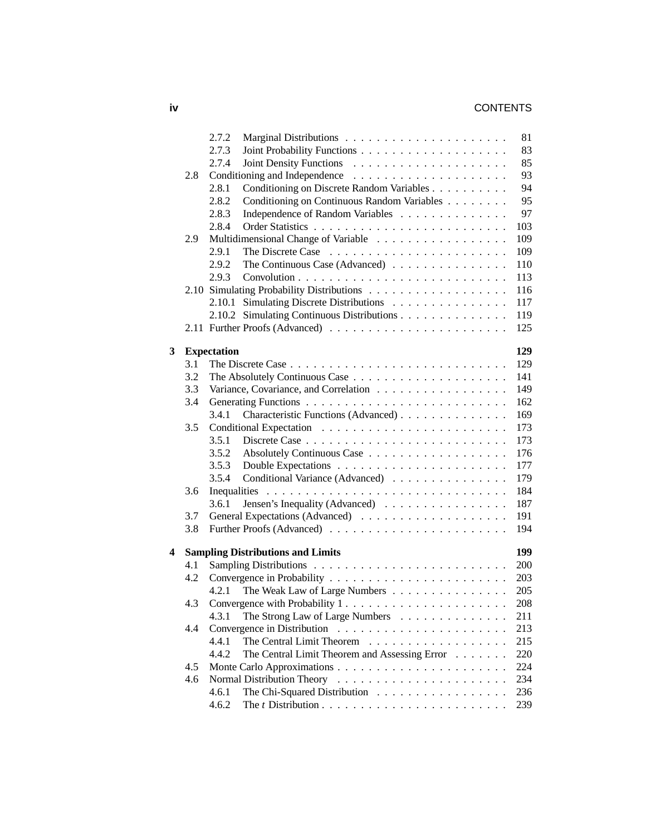# **iv** CONTENTS

|   |     | 2.7.2                                                                        | 81  |
|---|-----|------------------------------------------------------------------------------|-----|
|   |     | 2.7.3                                                                        | 83  |
|   |     | 2.7.4                                                                        | 85  |
|   | 2.8 |                                                                              | 93  |
|   |     | 2.8.1<br>Conditioning on Discrete Random Variables                           | 94  |
|   |     | 2.8.2<br>Conditioning on Continuous Random Variables                         | 95  |
|   |     | 2.8.3<br>Independence of Random Variables                                    | 97  |
|   |     | 2.8.4                                                                        | 103 |
|   | 2.9 |                                                                              | 109 |
|   |     | 2.9.1                                                                        | 109 |
|   |     | 2.9.2<br>The Continuous Case (Advanced) $\ldots \ldots \ldots \ldots \ldots$ | 110 |
|   |     | 2.9.3                                                                        | 113 |
|   |     |                                                                              | 116 |
|   |     | 2.10.1 Simulating Discrete Distributions                                     | 117 |
|   |     | 2.10.2 Simulating Continuous Distributions                                   | 119 |
|   |     |                                                                              | 125 |
|   |     |                                                                              |     |
| 3 |     | <b>Expectation</b>                                                           | 129 |
|   | 3.1 |                                                                              | 129 |
|   | 3.2 |                                                                              | 141 |
|   | 3.3 | Variance, Covariance, and Correlation                                        | 149 |
|   | 3.4 |                                                                              | 162 |
|   |     | 3.4.1<br>Characteristic Functions (Advanced)                                 | 169 |
|   | 3.5 |                                                                              | 173 |
|   |     | 3.5.1                                                                        | 173 |
|   |     | 3.5.2                                                                        | 176 |
|   |     | 3.5.3                                                                        | 177 |
|   |     | 3.5.4<br>Conditional Variance (Advanced)                                     | 179 |
|   | 3.6 |                                                                              | 184 |
|   |     | 3.6.1<br>Jensen's Inequality (Advanced) $\ldots \ldots \ldots \ldots \ldots$ | 187 |
|   | 3.7 |                                                                              | 191 |
|   | 3.8 |                                                                              | 194 |
|   |     |                                                                              |     |
| 4 |     | <b>Sampling Distributions and Limits</b>                                     | 199 |
|   | 4.1 |                                                                              | 200 |
|   | 4.2 |                                                                              | 203 |
|   |     | The Weak Law of Large Numbers<br>4.2.1                                       | 205 |
|   | 4.3 | Convergence with Probability 1                                               | 208 |
|   |     | The Strong Law of Large Numbers<br>4.3.1                                     | 211 |
|   | 4.4 |                                                                              | 213 |
|   |     | 4.4.1<br>The Central Limit Theorem                                           | 215 |
|   |     | 4.4.2<br>The Central Limit Theorem and Assessing Error                       | 220 |
|   | 4.5 |                                                                              | 224 |
|   | 4.6 |                                                                              | 234 |
|   |     | 4.6.1<br>The Chi-Squared Distribution                                        | 236 |
|   |     | 4.6.2                                                                        | 239 |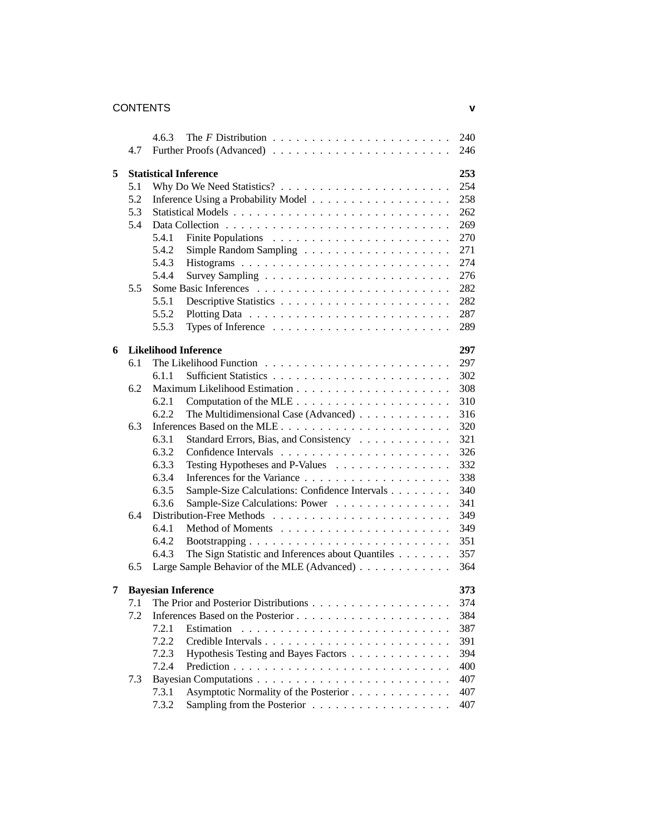## CONTENTS **v**

|   |     | 4.6.3                                                      | 240 |
|---|-----|------------------------------------------------------------|-----|
|   | 4.7 |                                                            | 246 |
| 5 |     | <b>Statistical Inference</b>                               | 253 |
|   | 5.1 |                                                            | 254 |
|   | 5.2 |                                                            | 258 |
|   | 5.3 |                                                            | 262 |
|   | 5.4 |                                                            | 269 |
|   |     | 5.4.1                                                      | 270 |
|   |     | 5.4.2                                                      | 271 |
|   |     | 5.4.3                                                      | 274 |
|   |     | 5.4.4                                                      | 276 |
|   | 5.5 |                                                            | 282 |
|   |     | 5.5.1                                                      | 282 |
|   |     | 5.5.2                                                      | 287 |
|   |     | 5.5.3                                                      | 289 |
| 6 |     | <b>Likelihood Inference</b>                                | 297 |
|   | 6.1 |                                                            | 297 |
|   |     | 6.1.1                                                      | 302 |
|   | 6.2 |                                                            | 308 |
|   |     | 6.2.1                                                      | 310 |
|   |     | 6.2.2<br>The Multidimensional Case (Advanced)              | 316 |
|   | 6.3 |                                                            | 320 |
|   |     | 6.3.1<br>Standard Errors, Bias, and Consistency            | 321 |
|   |     | 6.3.2                                                      | 326 |
|   |     | 6.3.3<br>Testing Hypotheses and P-Values                   | 332 |
|   |     | 6.3.4                                                      | 338 |
|   |     | 6.3.5<br>Sample-Size Calculations: Confidence Intervals    | 340 |
|   |     | 6.3.6<br>Sample-Size Calculations: Power                   | 341 |
|   | 6.4 |                                                            | 349 |
|   |     | 6.4.1                                                      | 349 |
|   |     | 6.4.2                                                      | 351 |
|   |     | 6.4.3<br>The Sign Statistic and Inferences about Quantiles | 357 |
|   | 6.5 | Large Sample Behavior of the MLE (Advanced)                | 364 |
| 7 |     | <b>Bayesian Inference</b>                                  | 373 |
|   |     | 7.1 The Prior and Posterior Distributions                  | 374 |
|   | 7.2 |                                                            | 384 |
|   |     | 7.2.1<br>Estimation                                        | 387 |
|   |     | 7.2.2                                                      | 391 |
|   |     | Hypothesis Testing and Bayes Factors<br>7.2.3              | 394 |
|   |     | 7.2.4                                                      | 400 |
|   | 7.3 |                                                            | 407 |
|   |     | Asymptotic Normality of the Posterior<br>7.3.1             | 407 |
|   |     | 7.3.2                                                      | 407 |
|   |     |                                                            |     |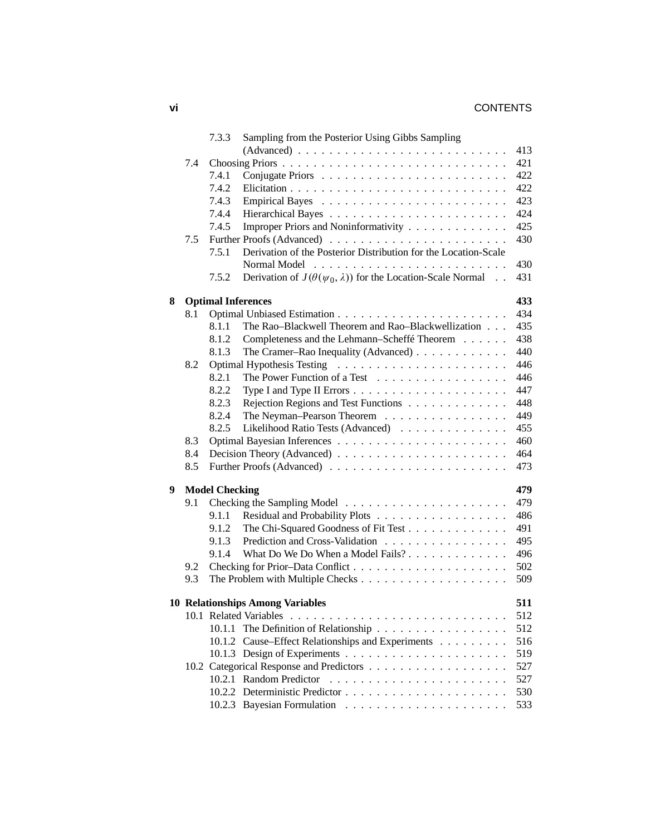# **vi** CONTENTS

|   |     | 7.3.3                 | Sampling from the Posterior Using Gibbs Sampling                               |     |
|---|-----|-----------------------|--------------------------------------------------------------------------------|-----|
|   |     |                       | $(Advanced) \dots \dots \dots \dots \dots \dots \dots \dots \dots \dots \dots$ | 413 |
|   | 7.4 |                       |                                                                                | 421 |
|   |     | 7.4.1                 |                                                                                | 422 |
|   |     | 7.4.2                 |                                                                                | 422 |
|   |     | 7.4.3                 |                                                                                | 423 |
|   |     | 7.4.4                 |                                                                                | 424 |
|   |     | 7.4.5                 | Improper Priors and Noninformativity                                           | 425 |
|   | 7.5 |                       |                                                                                | 430 |
|   |     | 7.5.1                 | Derivation of the Posterior Distribution for the Location-Scale                |     |
|   |     |                       |                                                                                | 430 |
|   |     | 7.5.2                 | Derivation of $J(\theta(\psi_0, \lambda))$ for the Location-Scale Normal       | 431 |
| 8 |     |                       | <b>Optimal Inferences</b>                                                      | 433 |
|   | 8.1 |                       |                                                                                | 434 |
|   |     | 8.1.1                 | The Rao-Blackwell Theorem and Rao-Blackwellization                             | 435 |
|   |     | 8.1.2                 | Completeness and the Lehmann-Scheffé Theorem                                   | 438 |
|   |     | 8.1.3                 | The Cramer–Rao Inequality (Advanced) $\ldots$                                  | 440 |
|   | 8.2 |                       |                                                                                | 446 |
|   |     | 8.2.1                 | The Power Function of a Test                                                   | 446 |
|   |     | 8.2.2                 |                                                                                | 447 |
|   |     | 8.2.3                 | Rejection Regions and Test Functions                                           | 448 |
|   |     | 8.2.4                 | The Neyman-Pearson Theorem                                                     | 449 |
|   |     | 8.2.5                 | Likelihood Ratio Tests (Advanced)                                              | 455 |
|   | 8.3 |                       |                                                                                | 460 |
|   | 8.4 |                       |                                                                                | 464 |
|   | 8.5 |                       |                                                                                | 473 |
| 9 |     | <b>Model Checking</b> |                                                                                | 479 |
|   | 9.1 |                       |                                                                                | 479 |
|   |     | 9.1.1                 | Residual and Probability Plots                                                 | 486 |
|   |     | 9.1.2                 | The Chi-Squared Goodness of Fit Test                                           | 491 |
|   |     | 9.1.3                 | Prediction and Cross-Validation                                                | 495 |
|   |     | 9.1.4                 | What Do We Do When a Model Fails?                                              | 496 |
|   | 9.2 |                       |                                                                                | 502 |
|   | 9.3 |                       |                                                                                | 509 |
|   |     |                       | <b>10 Relationships Among Variables</b>                                        | 511 |
|   |     |                       |                                                                                | 512 |
|   |     |                       | 10.1.1 The Definition of Relationship                                          | 512 |
|   |     |                       | 10.1.2 Cause–Effect Relationships and Experiments                              | 516 |
|   |     |                       |                                                                                | 519 |
|   |     |                       |                                                                                | 527 |
|   |     |                       |                                                                                | 527 |
|   |     |                       |                                                                                | 530 |
|   |     |                       |                                                                                | 533 |
|   |     |                       |                                                                                |     |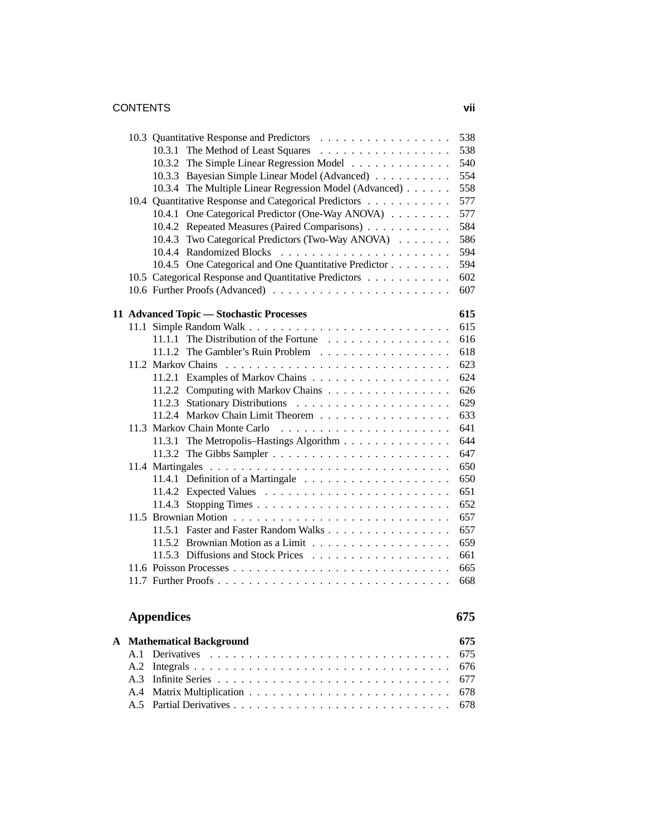### CONTENTS **vii**

|              |     | 10.3 Quantitative Response and Predictors              | 538 |
|--------------|-----|--------------------------------------------------------|-----|
|              |     | 10.3.1 The Method of Least Squares                     | 538 |
|              |     | 10.3.2 The Simple Linear Regression Model              | 540 |
|              |     | 10.3.3 Bayesian Simple Linear Model (Advanced)         | 554 |
|              |     | 10.3.4 The Multiple Linear Regression Model (Advanced) | 558 |
|              |     | 10.4 Quantitative Response and Categorical Predictors  | 577 |
|              |     | 10.4.1 One Categorical Predictor (One-Way ANOVA)       | 577 |
|              |     | 10.4.2 Repeated Measures (Paired Comparisons)          | 584 |
|              |     | 10.4.3 Two Categorical Predictors (Two-Way ANOVA)      | 586 |
|              |     | 10.4.4 Randomized Blocks                               | 594 |
|              |     | 10.4.5 One Categorical and One Quantitative Predictor  | 594 |
|              |     | 10.5 Categorical Response and Quantitative Predictors  | 602 |
|              |     |                                                        | 607 |
|              |     |                                                        |     |
|              |     | 11 Advanced Topic - Stochastic Processes               | 615 |
|              |     |                                                        | 615 |
|              |     | 11.1.1 The Distribution of the Fortune                 | 616 |
|              |     | 11.1.2 The Gambler's Ruin Problem                      | 618 |
|              |     |                                                        | 623 |
|              |     |                                                        | 624 |
|              |     | 11.2.2 Computing with Markov Chains                    | 626 |
|              |     |                                                        | 629 |
|              |     | 11.2.4 Markov Chain Limit Theorem                      | 633 |
|              |     | 11.3 Markov Chain Monte Carlo                          | 641 |
|              |     | 11.3.1 The Metropolis-Hastings Algorithm               | 644 |
|              |     |                                                        | 647 |
|              |     |                                                        | 650 |
|              |     |                                                        | 650 |
|              |     |                                                        | 651 |
|              |     |                                                        | 652 |
|              |     |                                                        | 657 |
|              |     | 11.5.1 Faster and Faster Random Walks                  | 657 |
|              |     |                                                        | 659 |
|              |     |                                                        | 661 |
|              |     |                                                        | 665 |
|              |     |                                                        | 668 |
|              |     | <b>Appendices</b>                                      | 675 |
|              |     |                                                        |     |
| $\mathbf{A}$ |     | <b>Mathematical Background</b>                         | 675 |
|              | A.1 |                                                        | 675 |
|              | A.2 |                                                        | 676 |
|              | A.3 |                                                        | 677 |

A.4 Matrix Multiplication . . . . . . . . . . . . . . . . . . . . . . . . . . 678 A.5 Partial Derivatives . . . . . . . . . . . . . . . . . . . . . . . . . . . . 678